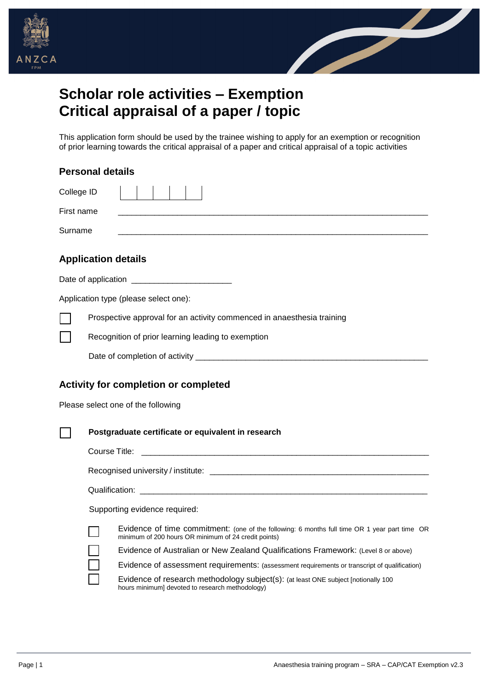



## **Scholar role activities – Exemption Critical appraisal of a paper / topic**

This application form should be used by the trainee wishing to apply for an exemption or recognition of prior learning towards the critical appraisal of a paper and critical appraisal of a topic activities

| <b>Personal details</b>                                                                                                                               |  |  |  |
|-------------------------------------------------------------------------------------------------------------------------------------------------------|--|--|--|
| College ID                                                                                                                                            |  |  |  |
| First name                                                                                                                                            |  |  |  |
| Surname                                                                                                                                               |  |  |  |
| <b>Application details</b>                                                                                                                            |  |  |  |
|                                                                                                                                                       |  |  |  |
| Application type (please select one):                                                                                                                 |  |  |  |
| Prospective approval for an activity commenced in anaesthesia training                                                                                |  |  |  |
| Recognition of prior learning leading to exemption                                                                                                    |  |  |  |
|                                                                                                                                                       |  |  |  |
| <b>Activity for completion or completed</b><br>Please select one of the following                                                                     |  |  |  |
| Postgraduate certificate or equivalent in research                                                                                                    |  |  |  |
|                                                                                                                                                       |  |  |  |
|                                                                                                                                                       |  |  |  |
|                                                                                                                                                       |  |  |  |
| Supporting evidence required:                                                                                                                         |  |  |  |
| Evidence of time commitment: (one of the following: 6 months full time OR 1 year part time OR<br>minimum of 200 hours OR minimum of 24 credit points) |  |  |  |
| Evidence of Australian or New Zealand Qualifications Framework: (Level 8 or above)                                                                    |  |  |  |
| Evidence of assessment requirements: (assessment requirements or transcript of qualification)                                                         |  |  |  |
| Evidence of research methodology subject(s): (at least ONE subject [notionally 100                                                                    |  |  |  |

Evidence of research methodology subject(s): (at least ONE subject [notionally 100 hours minimum] devoted to research methodology)